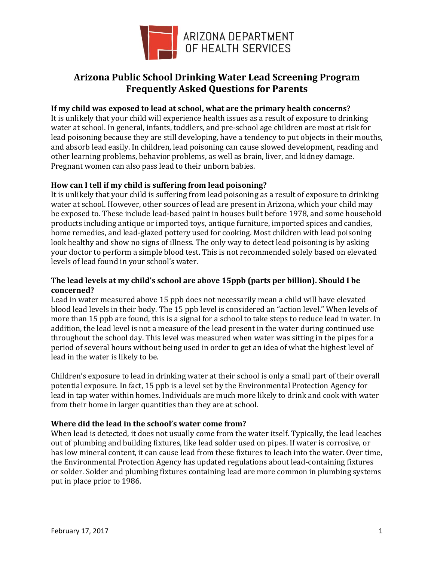

# **Arizona Public School Drinking Water Lead Screening Program Frequently Asked Questions for Parents**

#### **If my child was exposed to lead at school, what are the primary health concerns?**

It is unlikely that your child will experience health issues as a result of exposure to drinking water at school. In general, infants, toddlers, and pre-school age children are most at risk for lead poisoning because they are still developing, have a tendency to put objects in their mouths, and absorb lead easily. In children, lead poisoning can cause slowed development, reading and other learning problems, behavior problems, as well as brain, liver, and kidney damage. Pregnant women can also pass lead to their unborn babies.

### **How can I tell if my child is suffering from lead poisoning?**

It is unlikely that your child is suffering from lead poisoning as a result of exposure to drinking water at school. However, other sources of lead are present in Arizona, which your child may be exposed to. These include lead-based paint in houses built before 1978, and some household products including antique or imported toys, antique furniture, imported spices and candies, home remedies, and lead-glazed pottery used for cooking. Most children with lead poisoning look healthy and show no signs of illness. The only way to detect lead poisoning is by asking your doctor to perform a simple blood test. This is not recommended solely based on elevated levels of lead found in your school's water.

### **The lead levels at my child's school are above 15ppb (parts per billion). Should I be concerned?**

Lead in water measured above 15 ppb does not necessarily mean a child will have elevated blood lead levels in their body. The 15 ppb level is considered an "action level." When levels of more than 15 ppb are found, this is a signal for a school to take steps to reduce lead in water. In addition, the lead level is not a measure of the lead present in the water during continued use throughout the school day. This level was measured when water was sitting in the pipes for a period of several hours without being used in order to get an idea of what the highest level of lead in the water is likely to be.

Children's exposure to lead in drinking water at their school is only a small part of their overall potential exposure. In fact, 15 ppb is a level set by the Environmental Protection Agency for lead in tap water within homes. Individuals are much more likely to drink and cook with water from their home in larger quantities than they are at school.

## **Where did the lead in the school's water come from?**

When lead is detected, it does not usually come from the water itself. Typically, the lead leaches out of plumbing and building fixtures, like lead solder used on pipes. If water is corrosive, or has low mineral content, it can cause lead from these fixtures to leach into the water. Over time, the Environmental Protection Agency has updated regulations about lead-containing fixtures or solder. Solder and plumbing fixtures containing lead are more common in plumbing systems put in place prior to 1986.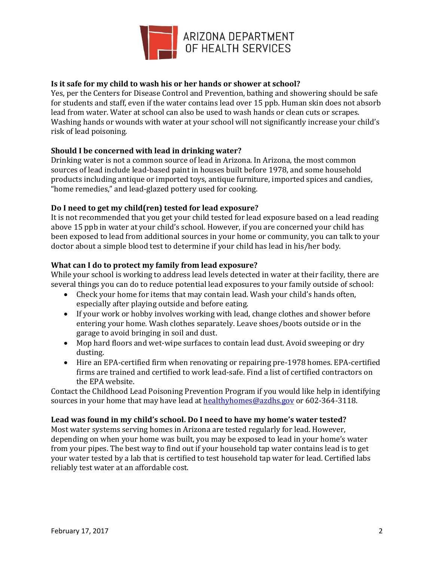

## **Is it safe for my child to wash his or her hands or shower at school?**

Yes, per the Centers for Disease Control and Prevention, bathing and showering should be safe for students and staff, even if the water contains lead over 15 ppb. Human skin does not absorb lead from water. Water at school can also be used to wash hands or clean cuts or scrapes. Washing hands or wounds with water at your school will not significantly increase your child's risk of lead poisoning.

### **Should I be concerned with lead in drinking water?**

Drinking water is not a common source of lead in Arizona. In Arizona, the most common sources of lead include lead-based paint in houses built before 1978, and some household products including antique or imported toys, antique furniture, imported spices and candies, "home remedies," and lead-glazed pottery used for cooking.

### **Do I need to get my child(ren) tested for lead exposure?**

It is not recommended that you get your child tested for lead exposure based on a lead reading above 15 ppb in water at your child's school. However, if you are concerned your child has been exposed to lead from additional sources in your home or community, you can talk to your doctor about a simple blood test to determine if your child has lead in his/her body.

### **What can I do to protect my family from lead exposure?**

While your school is working to address lead levels detected in water at their facility, there are several things you can do to reduce potential lead exposures to your family outside of school:

- Check your home for items that may contain lead. Wash your child's hands often, especially after playing outside and before eating.
- If your work or hobby involves working with lead, change clothes and shower before entering your home. Wash clothes separately. Leave shoes/boots outside or in the garage to avoid bringing in soil and dust.
- Mop hard floors and wet-wipe surfaces to contain lead dust. Avoid sweeping or dry dusting.
- Hire an EPA-certified firm when renovating or repairing pre-1978 homes. EPA-certified firms are trained and certified to work lead-safe. Find a list of certified contractors on the EPA website.

Contact the Childhood Lead Poisoning Prevention Program if you would like help in identifying sources in your home that may have lead at [healthyhomes@azdhs.gov](mailto:healthyhomes@azdhs.gov) or 602-364-3118.

#### **Lead was found in my child's school. Do I need to have my home's water tested?**

Most water systems serving homes in Arizona are tested regularly for lead. However, depending on when your home was built, you may be exposed to lead in your home's water from your pipes. The best way to find out if your household tap water contains lead is to get your water tested by a lab that is certified to test household tap water for lead. Certified labs reliably test water at an affordable cost.